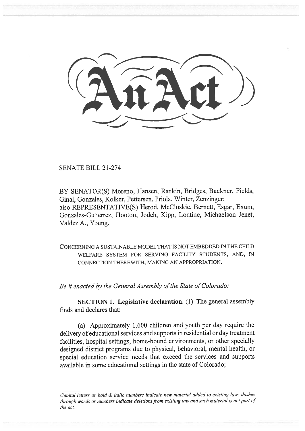SENATE BILL 21-274

BY SENATOR(S) Moreno, Hansen, Rankin, Bridges, Buckner, Fields, Ginal, Gonzales, Kolker, Pettersen, Priola, Winter, Zenzinger; also REPRESENTATIVE(S) Herod, McCluskie, Bernett, Esgar, Exum, Gonzales-Gutierrez, Hooton, Jodeh, Kipp, Lontine, Michaelson Jenet, Valdez A., Young.

CONCERNING A SUSTAINABLE MODEL THAT IS NOT EMBEDDED IN THE CHILD WELFARE SYSTEM FOR SERVING FACILITY STUDENTS, AND, IN CONNECTION THEREWITH, MAKING AN APPROPRIATION.

Be it enacted by the General Assembly of the State of Colorado:

SECTION 1. Legislative declaration. (1) The general assembly finds and declares that:

(a) Approximately 1,600 children and youth per day require the delivery of educational services and supports in residential or day treatment facilities, hospital settings, home-bound environments, or other specially designed district programs due to physical, behavioral, mental health, or special education service needs that exceed the services and supports available in some educational settings in the state of Colorado;

Capital letters or bold & italic numbers indicate new material added to existing law; dashes through words or numbers indicate deletions from existing law and such material is not part of the act.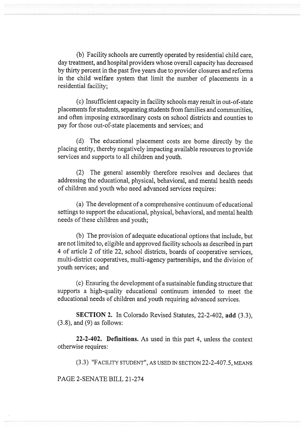(b) Facility schools are currently operated by residential child care, day treatment, and hospital providers whose overall capacity has decreased by thirty percent in the past five years due to provider closures and reforms in the child welfare system that limit the number of placements in a residential facility;

(c) Insufficient capacity in facility schools may result in out-of-state placements for students, separating students from families and communities, and often imposing extraordinary costs on school districts and counties to pay for those out-of-state placements and services; and

(d) The educational placement costs are borne directly by the placing entity, thereby negatively impacting available resources to provide services and supports to all children and youth.

(2) The general assembly therefore resolves and declares that addressing the educational, physical, behavioral, and mental health needs of children and youth who need advanced services requires:

(a) The development of a comprehensive continuum of educational settings to support the educational, physical, behavioral, and mental health needs of these children and youth;

(b) The provision of adequate educational options that include, but are not limited to, eligible and approved facility schools as described in part 4 of article 2 of title 22, school districts, boards of cooperative services, multi-district cooperatives, multi-agency partnerships, and the division of youth services; and

(c) Ensuring the development of a sustainable funding structure that supports a high-quality educational continuum intended to meet the educational needs of children and youth requiring advanced services.

SECTION 2. In Colorado Revised Statutes, 22-2-402, add (3.3), (3.8), and (9) as follows:

22-2-402. Definitions. As used in this part 4, unless the context otherwise requires:

(3.3) "FACILITY STUDENT", AS USED IN SECTION 22-2-407.5, MEANS

PAGE 2-SENATE BILL 21-274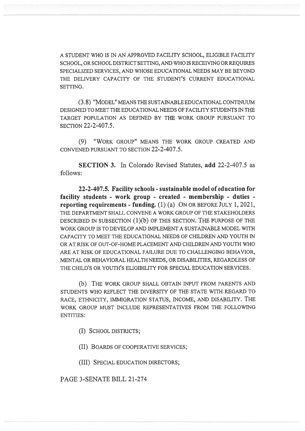A STUDENT WHO IS IN AN APPROVED FACILITY SCHOOL, ELIGIBLE FACILITY SCHOOL, OR SCHOOL DISTRICT SETTING, AND WHO IS RECEIVING OR REQUIRES SPECIALIZED SERVICES, AND WHOSE EDUCATIONAL NEEDS MAY BE BEYOND THE DELIVERY CAPACITY OF THE STUDENT'S CURRENT EDUCATIONAL SETTING.

(3.8) "MODEL" MEANS THE SUSTAINABLE EDUCATIONAL CONTINUUM DESIGNED TO MEET THE EDUCATIONAL NEEDS OF FACILITY STUDENTS IN THE TARGET POPULATION AS DEFINED BY THE WORK GROUP PURSUANT TO SECTION 22-2-407.5.

(9) "WORK GROUP" MEANS THE WORK GROUP CREATED AND CONVENED PURSUANT TO SECTION 22-2-407.5.

SECTION 3. In Colorado Revised Statutes, add 22-2-407.5 as follows:

22-2-407.5. Facility schools - sustainable model of education for facility students - work group - created - membership - duties reporting requirements - funding.  $(1)$   $(a)$  ON OR BEFORE JULY 1, 2021, THE DEPARTMENT SHALL CONVENE A WORK GROUP OF THE STAKEHOLDERS DESCRIBED IN SUBSECTION (1)(b) OF THIS SECTION. THE PURPOSE OF THE WORK GROUP IS TO DEVELOP AND IMPLEMENT A SUSTAINABLE MODEL WITH CAPACITY TO MEET THE EDUCATIONAL NEEDS OF CHILDREN AND YOUTH IN OR AT RISK OF OUT-OF-HOME PLACEMENT AND CHILDREN AND YOUTH WHO ARE AT RISK OF EDUCATIONAL FAILURE DUE TO CHALLENGING BEHAVIOR, MENTAL OR BEHAVIORAL HEALTH NEEDS, OR DISABILITIES, REGARDLESS OF THE CHILD'S OR YOUTH'S ELIGIBILITY FOR SPECIAL EDUCATION SERVICES.

(b) THE WORK GROUP SHALL OBTAIN INPUT FROM PARENTS AND STUDENTS WHO REFLECT THE DIVERSITY OF THE STATE WITH REGARD TO RACE, ETHNICITY, IMMIGRATION STATUS, INCOME, AND DISABILITY. THE WORK GROUP MUST INCLUDE REPRESENTATIVES FROM THE FOLLOWING ENTITIES:

(I) SCHOOL DISTRICTS;

(II) BOARDS OF COOPERATIVE SERVICES;

(III) SPECIAL EDUCATION DIRECTORS;

PAGE 3-SENATE BILL 21-274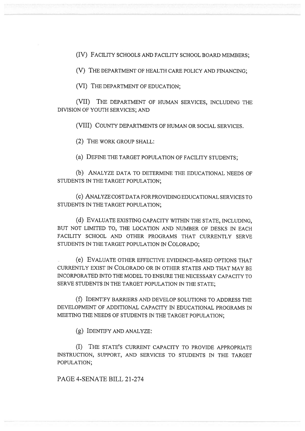(IV) FACILITY SCHOOLS AND FACILITY SCHOOL BOARD MEMBERS;

(V) THE DEPARTMENT OF HEALTH CARE POLICY AND FINANCING;

(VI) THE DEPARTMENT OF EDUCATION;

(VII) THE DEPARTMENT OF HUMAN SERVICES, INCLUDING THE DIVISION OF YOUTH SERVICES; AND

(VIII) COUNTY DEPARTMENTS OF HUMAN OR SOCIAL SERVICES.

(2) THE WORK GROUP SHALL:

(a) DEFINE THE TARGET POPULATION OF FACILITY STUDENTS;

(b) ANALYZE DATA TO DETERMINE THE EDUCATIONAL NEEDS OF STUDENTS IN THE TARGET POPULATION;

(c) ANALYZE COST DATA FOR PROVIDING EDUCATIONAL SERVICES TO STUDENTS IN THE TARGET POPULATION;

(d) EVALUATE EXISTING CAPACITY WITHIN THE STATE, INCLUDING, BUT NOT LIMITED TO, THE LOCATION AND NUMBER OF DESKS IN EACH FACILITY SCHOOL AND OTHER PROGRAMS THAT CURRENTLY SERVE STUDENTS IN THE TARGET POPULATION IN COLORADO;

(e) EVALUATE OTHER EFFECTIVE EVIDENCE-BASED OPTIONS THAT CURRENTLY EXIST IN COLORADO OR IN OTHER STATES AND THAT MAY BE INCORPORATED INTO THE MODEL TO ENSURE THE NECESSARY CAPACITY TO SERVE STUDENTS IN THE TARGET POPULATION IN THE STATE;

(f) IDENTIFY BARRIERS AND DEVELOP SOLUTIONS TO ADDRESS THE DEVELOPMENT OF ADDITIONAL CAPACITY IN EDUCATIONAL PROGRAMS IN MEETING THE NEEDS OF STUDENTS IN THE TARGET POPULATION;

(g) IDENTIFY AND ANALYZE:

(I) THE STATE'S CURRENT CAPACITY TO PROVIDE APPROPRIATE INSTRUCTION, SUPPORT, AND SERVICES TO STUDENTS IN THE TARGET POPULATION;

PAGE 4-SENATE BILL 21-274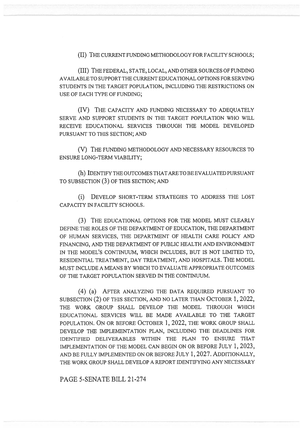(II) THE CURRENT FUNDING METHODOLOGY FOR FACILITY SCHOOLS;

(III) THE FEDERAL, STATE, LOCAL, AND OTHER SOURCES OF FUNDING AVAILABLE TO SUPPORT THE CURRENT EDUCATIONAL OPTIONS FOR SERVING STUDENTS IN THE TARGET POPULATION, INCLUDING THE RESTRICTIONS ON USE OF EACH TYPE OF FUNDING;

(IV) THE CAPACITY AND FUNDING NECESSARY TO ADEQUATELY SERVE AND SUPPORT STUDENTS IN THE TARGET POPULATION WHO WILL RECEIVE EDUCATIONAL SERVICES THROUGH THE MODEL DEVELOPED PURSUANT TO THIS SECTION; AND

(V) THE FUNDING METHODOLOGY AND NECESSARY RESOURCES TO ENSURE LONG-TERM VIABILITY;

(h) IDENTIFY THE OUTCOMES THAT ARE TO BE EVALUATED PURSUANT TO SUBSECTION (3) OF THIS SECTION; AND

(i) DEVELOP SHORT-TERM STRATEGIES TO ADDRESS THE LOST CAPACITY IN FACILITY SCHOOLS.

(3) THE EDUCATIONAL OPTIONS FOR THE MODEL MUST CLEARLY DEFINE THE ROLES OF THE DEPARTMENT OF EDUCATION, THE DEPARTMENT OF HUMAN SERVICES, THE DEPARTMENT OF HEALTH CARE POLICY AND FINANCING, AND THE DEPARTMENT OF PUBLIC HEALTH AND ENVIRONMENT IN THE MODEL'S CONTINUUM, WHICH INCLUDES, BUT IS NOT LIMITED TO, RESIDENTIAL TREATMENT, DAY TREATMENT, AND HOSPITALS. THE MODEL MUST INCLUDE A MEANS BY WHICH TO EVALUATE APPROPRIATE OUTCOMES OF THE TARGET POPULATION SERVED IN THE CONTINUUM.

(4) (a) AFTER ANALYZING THE DATA REQUIRED PURSUANT TO SUBSECTION (2) OF THIS SECTION, AND NO LATER THAN OCTOBER 1, 2022, THE WORK GROUP SHALL DEVELOP THE MODEL THROUGH WHICH EDUCATIONAL SERVICES WILL BE MADE AVAILABLE TO THE TARGET POPULATION. ON OR BEFORE OCTOBER 1, 2022, THE WORK GROUP SHALL DEVELOP THE IMPLEMENTATION PLAN, INCLUDING THE DEADLINES FOR IDENTIFIED DELIVERABLES WITHIN THE PLAN TO ENSURE THAT IMPLEMENTATION OF THE MODEL CAN BEGIN ON OR BEFORE JULY 1, 2023, AND BE FULLY IMPLEMENTED ON OR BEFORE JULY 1, 2027. ADDITIONALLY, THE WORK GROUP SHALL DEVELOP A REPORT IDENTIFYING ANY NECESSARY

PAGE 5-SENATE BILL 21-274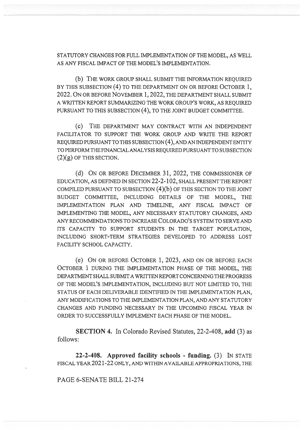STATUTORY CHANGES FOR FULL IMPLEMENTATION OF THE MODEL, AS WELL AS ANY FISCAL IMPACT OF THE MODEL'S IMPLEMENTATION.

(b) THE WORK GROUP SHALL SUBMIT THE INFORMATION REQUIRED BY THIS SUBSECTION (4) TO THE DEPARTMENT ON OR BEFORE OCTOBER 1, 2022. ON OR BEFORE NOVEMBER 1, 2022, THE DEPARTMENT SHALL SUBMIT A WRITTEN REPORT SUMMARIZING THE WORK GROUP'S WORK, AS REQUIRED PURSUANT TO THIS SUBSECTION (4), TO THE JOINT BUDGET COMMITTEE.

(C) THE DEPARTMENT MAY CONTRACT WITH AN INDEPENDENT FACILITATOR TO SUPPORT THE WORK GROUP AND WRITE THE REPORT REQUIRED PURSUANT TO THIS SUBSECTION (4), AND AN INDEPENDENT ENTITY TO PERFORM THE FINANCIAL ANALYSIS REQUIRED PURSUANT TO SUBSECTION  $(2)(g)$  OF THIS SECTION.

(d) ON OR BEFORE DECEMBER 31, 2022, THE COMMISSIONER OF EDUCATION, AS DEFINED IN SECTION 22-2-102, SHALL PRESENT THE REPORT COMPILED PURSUANT TO SUBSECTION (4)(b) OF THIS SECTION TO THE JOINT BUDGET COMMITTEE, INCLUDING DETAILS OF THE MODEL, THE IMPLEMENTATION PLAN AND TIMELINE, ANY FISCAL IMPACT OF IMPLEMENTING THE MODEL, ANY NECESSARY STATUTORY CHANGES, AND ANY RECOMMENDATIONS TO INCREASE COLORADO'S SYSTEM TO SERVE AND ITS CAPACITY TO SUPPORT STUDENTS IN THE TARGET POPULATION. INCLUDING SHORT-TERM STRATEGIES DEVELOPED TO ADDRESS LOST FACILITY SCHOOL CAPACITY.

(e) ON OR BEFORE OCTOBER 1, 2023, AND ON OR BEFORE EACH OCTOBER 1 DURING THE IMPLEMENTATION PHASE OF THE MODEL, THE DEPARTMENT SHALL SUBMIT A WRITTEN REPORT CONCERNING THE PROGRESS OF THE MODEL'S IMPLEMENTATION, INCLUDING BUT NOT LIMITED TO, THE STATUS OF EACH DELIVERABLE IDENTIFIED IN THE IMPLEMENTATION PLAN, ANY MODIFICATIONS TO THE IMPLEMENTATION PLAN, AND ANY STATUTORY CHANGES AND FUNDING NECESSARY IN THE UPCOMING FISCAL YEAR IN ORDER TO SUCCESSFULLY IMPLEMENT EACH PHASE OF THE MODEL.

SECTION 4. In Colorado Revised Statutes, 22-2-408, add (3) as follows:

22-2-408. Approved facility schools - funding. (3) IN STATE FISCAL YEAR 2021-22 ONLY, AND WITHIN AVAILABLE APPROPRIATIONS, THE

PAGE 6-SENATE BILL 21-274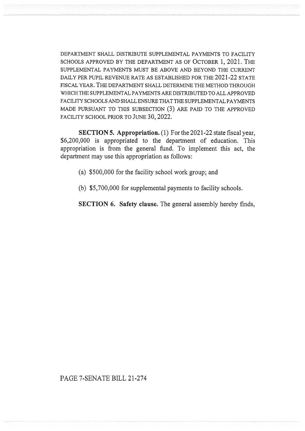DEPARTMENT SHALL DISTRIBUTE SUPPLEMENTAL PAYMENTS TO FACILITY SCHOOLS APPROVED BY THE DEPARTMENT AS OF OCTOBER 1, 2021. THE SUPPLEMENTAL PAYMENTS MUST BE ABOVE AND BEYOND THE CURRENT DAILY PER PUPIL REVENUE RATE AS ESTABLISHED FOR THE 2021-22 STATE FISCAL YEAR. THE DEPARTMENT SHALL DETERMINE THE METHOD THROUGH WHICH THE SUPPLEMENTAL PAYMENTS ARE DISTRIBUTED TO ALL APPROVED FACILITY SCHOOLS AND SHALL ENSURE THAT THE SUPPLEMENTAL PAYMENTS MADE PURSUANT TO THIS SUBSECTION (3) ARE PAID TO THE APPROVED FACILITY SCHOOL PRIOR TO JUNE 30, 2022.

SECTION 5. Appropriation. (1) For the 2021-22 state fiscal year, \$6,200,000 is appropriated to the department of education. This appropriation is from the general fund. To implement this act, the department may use this appropriation as follows:

- (a) \$500,000 for the facility school work group; and
- (b) \$5,700,000 for supplemental payments to facility schools.

SECTION 6. Safety clause. The general assembly hereby finds,

## PAGE 7-SENATE BILL 21-274